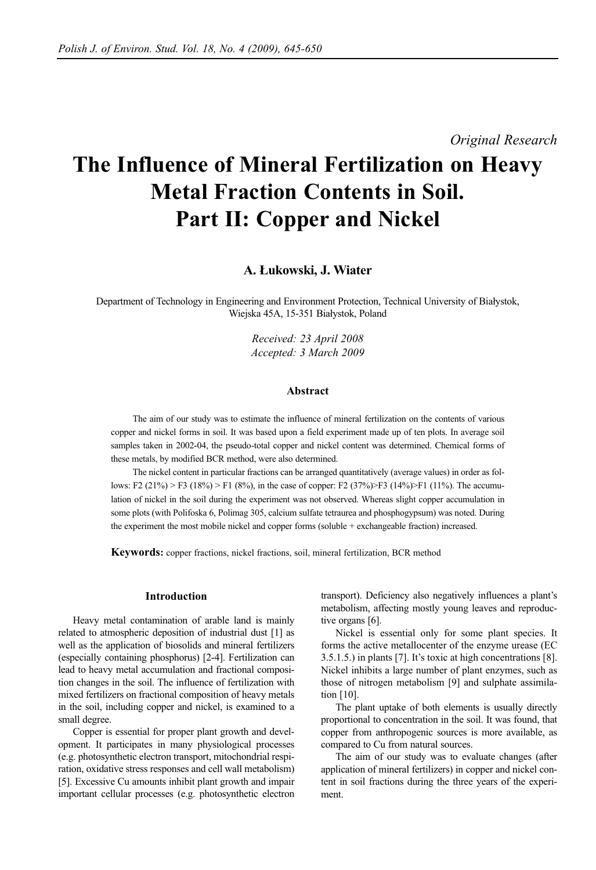*Original Research*

# **The Influence of Mineral Fertilization on Heavy Metal Fraction Contents in Soil. Part II: Copper and Nickel**

## **A. Łukowski, J. Wiater**

Department of Technology in Engineering and Environment Protection, Technical University of Białystok, Wiejska 45A, 15-351 Białystok, Poland

> *Received: 23 April 2008 Accepted: 3 March 2009*

#### **Abstract**

The aim of our study was to estimate the influence of mineral fertilization on the contents of various copper and nickel forms in soil. It was based upon a field experiment made up of ten plots. In average soil samples taken in 2002-04, the pseudo-total copper and nickel content was determined. Chemical forms of these metals, by modified BCR method, were also determined.

The nickel content in particular fractions can be arranged quantitatively (average values) in order as follows: F2 (21%) > F3 (18%) > F1 (8%), in the case of copper: F2 (37%)>F3 (14%)>F1 (11%). The accumulation of nickel in the soil during the experiment was not observed. Whereas slight copper accumulation in some plots (with Polifoska 6, Polimag 305, calcium sulfate tetraurea and phosphogypsum) was noted. During the experiment the most mobile nickel and copper forms (soluble + exchangeable fraction) increased.

**Keywords:** copper fractions, nickel fractions, soil, mineral fertilization, BCR method

## **Introduction**

Heavy metal contamination of arable land is mainly related to atmospheric deposition of industrial dust [1] as well as the application of biosolids and mineral fertilizers (especially containing phosphorus) [2-4]. Fertilization can lead to heavy metal accumulation and fractional composition changes in the soil. The influence of fertilization with mixed fertilizers on fractional composition of heavy metals in the soil, including copper and nickel, is examined to a small degree.

Copper is essential for proper plant growth and development. It participates in many physiological processes (e.g. photosynthetic electron transport, mitochondrial respiration, oxidative stress responses and cell wall metabolism) [5]. Excessive Cu amounts inhibit plant growth and impair important cellular processes (e.g. photosynthetic electron transport). Deficiency also negatively influences a plant's metabolism, affecting mostly young leaves and reproductive organs [6].

Nickel is essential only for some plant species. It forms the active metallocenter of the enzyme urease (EC 3.5.1.5.) in plants [7]. It's toxic at high concentrations [8]. Nickel inhibits a large number of plant enzymes, such as those of nitrogen metabolism [9] and sulphate assimilation [10].

The plant uptake of both elements is usually directly proportional to concentration in the soil. It was found, that copper from anthropogenic sources is more available, as compared to Cu from natural sources.

The aim of our study was to evaluate changes (after application of mineral fertilizers) in copper and nickel content in soil fractions during the three years of the experiment.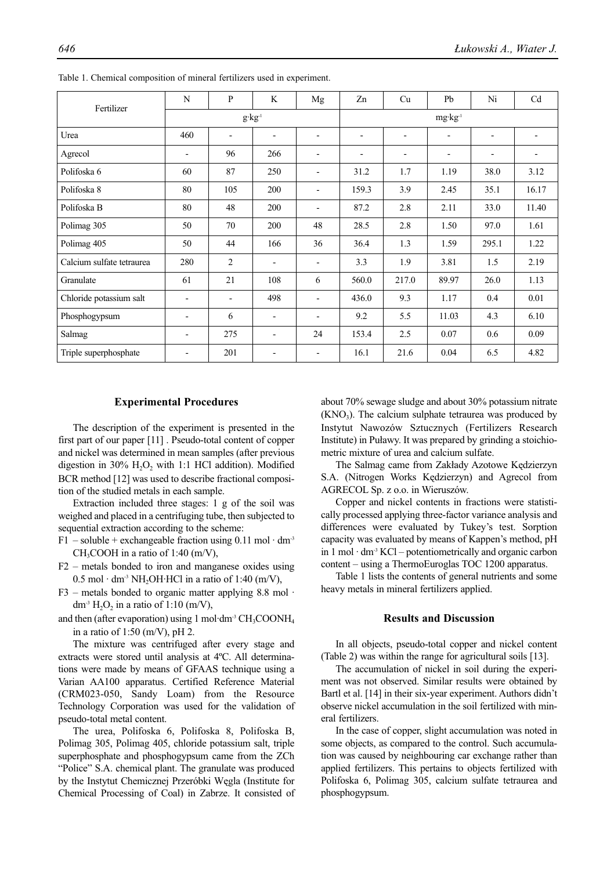| Fertilizer                | N                        | P                        | K                          | Mg                           | Zn                 | Cu                           | Pb                       | Ni                       | Cd    |  |
|---------------------------|--------------------------|--------------------------|----------------------------|------------------------------|--------------------|------------------------------|--------------------------|--------------------------|-------|--|
|                           |                          |                          | $g\!\cdot\!kg\!\cdot\!\!l$ |                              | $mg \cdot kg^{-1}$ |                              |                          |                          |       |  |
| Urea                      | 460                      | $\overline{\phantom{a}}$ | $\overline{\phantom{a}}$   | $\overline{\phantom{a}}$     | -                  | $\overline{\phantom{a}}$     | $\overline{\phantom{0}}$ |                          |       |  |
| Agrecol                   | $\overline{\phantom{0}}$ | 96                       | 266                        | $\qquad \qquad \blacksquare$ | -                  | $\qquad \qquad \blacksquare$ | $\overline{\phantom{a}}$ | $\overline{\phantom{0}}$ |       |  |
| Polifoska 6               | 60                       | 87                       | 250                        | $\overline{\phantom{a}}$     | 31.2               | 1.7                          | 1.19                     | 38.0                     | 3.12  |  |
| Polifoska 8               | 80                       | 105                      | 200                        | $\overline{\phantom{a}}$     | 159.3              | 3.9                          | 2.45                     | 35.1                     | 16.17 |  |
| Polifoska B               | 80                       | 48                       | 200                        | $\overline{\phantom{a}}$     | 87.2               | 2.8                          | 2.11                     | 33.0                     | 11.40 |  |
| Polimag 305               | 50                       | 70                       | 200                        | 48                           | 28.5               | 2.8                          | 1.50                     | 97.0                     | 1.61  |  |
| Polimag 405               | 50                       | 44                       | 166                        | 36                           | 36.4               | 1.3                          | 1.59                     | 295.1                    | 1.22  |  |
| Calcium sulfate tetraurea | 280                      | $\overline{2}$           | $\overline{\phantom{a}}$   | $\overline{\phantom{a}}$     | 3.3                | 1.9                          | 3.81                     | 1.5                      | 2.19  |  |
| Granulate                 | 61                       | 21                       | 108                        | 6                            | 560.0              | 217.0                        | 89.97                    | 26.0                     | 1.13  |  |
| Chloride potassium salt   | $\overline{\phantom{a}}$ | $\overline{\phantom{a}}$ | 498                        | $\overline{\phantom{a}}$     | 436.0              | 9.3                          | 1.17                     | 0.4                      | 0.01  |  |
| Phosphogypsum             | $\overline{\phantom{a}}$ | 6                        | $\overline{\phantom{a}}$   | $\overline{\phantom{a}}$     | 9.2                | 5.5                          | 11.03                    | 4.3                      | 6.10  |  |
| Salmag                    | $\overline{\phantom{0}}$ | 275                      | $\overline{\phantom{a}}$   | 24                           | 153.4              | 2.5                          | 0.07                     | 0.6                      | 0.09  |  |
| Triple superphosphate     | $\overline{\phantom{0}}$ | 201                      |                            |                              | 16.1               | 21.6                         | 0.04                     | 6.5                      | 4.82  |  |

Table 1. Chemical composition of mineral fertilizers used in experiment.

#### **Experimental Procedures**

The description of the experiment is presented in the first part of our paper [11] . Pseudo-total content of copper and nickel was determined in mean samples (after previous digestion in  $30\%$  H<sub>2</sub>O<sub>2</sub> with 1:1 HCl addition). Modified BCR method [12] was used to describe fractional composition of the studied metals in each sample.

Extraction included three stages: 1 g of the soil was weighed and placed in a centrifuging tube, then subjected to sequential extraction according to the scheme:

- F1 soluble + exchangeable fraction using  $0.11$  mol · dm<sup>-3</sup>  $CH<sub>3</sub>COOH$  in a ratio of 1:40 (m/V),
- F2 metals bonded to iron and manganese oxides using  $0.5$  mol  $\cdot$  dm<sup>-3</sup> NH<sub>2</sub>OH $\cdot$ HCl in a ratio of 1:40 (m/V),
- $F3$  metals bonded to organic matter applying 8.8 mol  $\cdot$ dm<sup>-3</sup> H<sub>2</sub>O<sub>2</sub> in a ratio of 1:10 (m/V),

and then (after evaporation) using 1 mol·dm<sup>-3</sup>  $CH_3COONH_4$ in a ratio of  $1:50 \ (m/V)$ , pH 2.

The mixture was centrifuged after every stage and extracts were stored until analysis at 4ºC. All determinations were made by means of GFAAS technique using a Varian AA100 apparatus. Certified Reference Material (CRM023-050, Sandy Loam) from the Resource Technology Corporation was used for the validation of pseudo-total metal content.

The urea, Polifoska 6, Polifoska 8, Polifoska B, Polimag 305, Polimag 405, chloride potassium salt, triple superphosphate and phosphogypsum came from the ZCh "Police" S.A. chemical plant. The granulate was produced by the Instytut Chemicznej Przeróbki Węgla (Institute for Chemical Processing of Coal) in Zabrze. It consisted of about 70% sewage sludge and about 30% potassium nitrate  $(KNO<sub>3</sub>)$ . The calcium sulphate tetraurea was produced by Instytut Nawozów Sztucznych (Fertilizers Research Institute) in Puławy. It was prepared by grinding a stoichiometric mixture of urea and calcium sulfate.

The Salmag came from Zakłady Azotowe Kędzierzyn S.A. (Nitrogen Works Kędzierzyn) and Agrecol from AGRECOL Sp. z o.o. in Wieruszów.

Copper and nickel contents in fractions were statistically processed applying three-factor variance analysis and differences were evaluated by Tukey's test. Sorption capacity was evaluated by means of Kappen's method, pH in  $1 \text{ mol} \cdot \text{dm}^3$  KCl – potentiometrically and organic carbon content – using a ThermoEuroglas TOC 1200 apparatus.

Table 1 lists the contents of general nutrients and some heavy metals in mineral fertilizers applied.

## **Results and Discussion**

In all objects, pseudo-total copper and nickel content (Table 2) was within the range for agricultural soils [13].

The accumulation of nickel in soil during the experiment was not observed. Similar results were obtained by Bartl et al. [14] in their six-year experiment. Authors didn't observe nickel accumulation in the soil fertilized with mineral fertilizers.

In the case of copper, slight accumulation was noted in some objects, as compared to the control. Such accumulation was caused by neighbouring car exchange rather than applied fertilizers. This pertains to objects fertilized with Polifoska 6, Polimag 305, calcium sulfate tetraurea and phosphogypsum.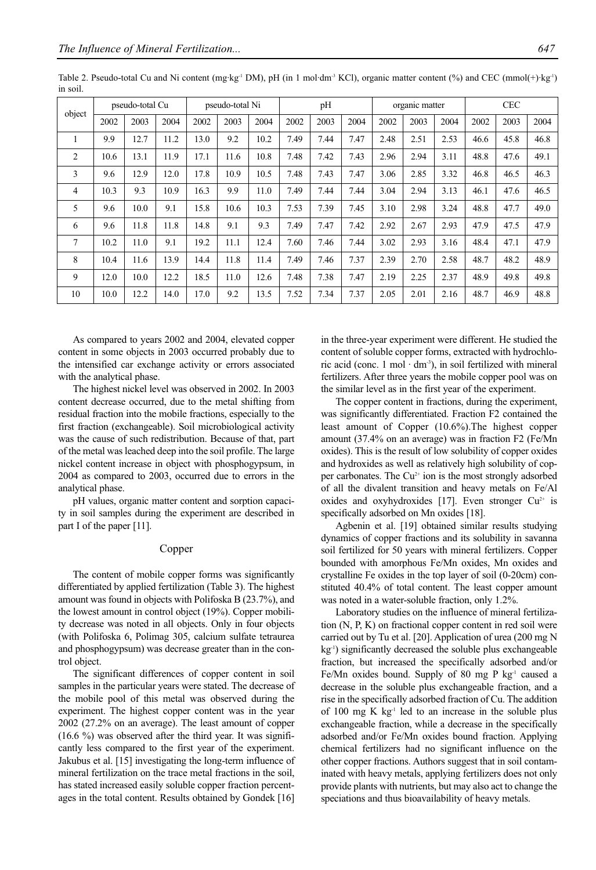| object |      | pseudo-total Cu |      |      | pseudo-total Ni |      |      | pH   |      |      | organic matter |      |      | <b>CEC</b> |      |
|--------|------|-----------------|------|------|-----------------|------|------|------|------|------|----------------|------|------|------------|------|
|        | 2002 | 2003            | 2004 | 2002 | 2003            | 2004 | 2002 | 2003 | 2004 | 2002 | 2003           | 2004 | 2002 | 2003       | 2004 |
| 1      | 9.9  | 12.7            | 11.2 | 13.0 | 9.2             | 10.2 | 7.49 | 7.44 | 7.47 | 2.48 | 2.51           | 2.53 | 46.6 | 45.8       | 46.8 |
| 2      | 10.6 | 13.1            | 11.9 | 17.1 | 11.6            | 10.8 | 7.48 | 7.42 | 7.43 | 2.96 | 2.94           | 3.11 | 48.8 | 47.6       | 49.1 |
| 3      | 9.6  | 12.9            | 12.0 | 17.8 | 10.9            | 10.5 | 7.48 | 7.43 | 7.47 | 3.06 | 2.85           | 3.32 | 46.8 | 46.5       | 46.3 |
| 4      | 10.3 | 9.3             | 10.9 | 16.3 | 9.9             | 11.0 | 7.49 | 7.44 | 7.44 | 3.04 | 2.94           | 3.13 | 46.1 | 47.6       | 46.5 |
| 5      | 9.6  | 10.0            | 9.1  | 15.8 | 10.6            | 10.3 | 7.53 | 7.39 | 7.45 | 3.10 | 2.98           | 3.24 | 48.8 | 47.7       | 49.0 |
| 6      | 9.6  | 11.8            | 11.8 | 14.8 | 9.1             | 9.3  | 7.49 | 7.47 | 7.42 | 2.92 | 2.67           | 2.93 | 47.9 | 47.5       | 47.9 |
| 7      | 10.2 | 11.0            | 9.1  | 19.2 | 11.1            | 12.4 | 7.60 | 7.46 | 7.44 | 3.02 | 2.93           | 3.16 | 48.4 | 47.1       | 47.9 |
| 8      | 10.4 | 11.6            | 13.9 | 14.4 | 11.8            | 11.4 | 7.49 | 7.46 | 7.37 | 2.39 | 2.70           | 2.58 | 48.7 | 48.2       | 48.9 |
| 9      | 12.0 | 10.0            | 12.2 | 18.5 | 11.0            | 12.6 | 7.48 | 7.38 | 7.47 | 2.19 | 2.25           | 2.37 | 48.9 | 49.8       | 49.8 |
| 10     | 10.0 | 12.2            | 14.0 | 17.0 | 9.2             | 13.5 | 7.52 | 7.34 | 7.37 | 2.05 | 2.01           | 2.16 | 48.7 | 46.9       | 48.8 |

Table 2. Pseudo-total Cu and Ni content (mg·kg<sup>-1</sup> DM), pH (in 1 mol·dm<sup>-3</sup> KCl), organic matter content (%) and CEC (mmol(+)·kg<sup>-1</sup>) in soil.

As compared to years 2002 and 2004, elevated copper content in some objects in 2003 occurred probably due to the intensified car exchange activity or errors associated with the analytical phase.

The highest nickel level was observed in 2002. In 2003 content decrease occurred, due to the metal shifting from residual fraction into the mobile fractions, especially to the first fraction (exchangeable). Soil microbiological activity was the cause of such redistribution. Because of that, part of the metal was leached deep into the soil profile. The large nickel content increase in object with phosphogypsum, in 2004 as compared to 2003, occurred due to errors in the analytical phase.

pH values, organic matter content and sorption capacity in soil samples during the experiment are described in part I of the paper [11].

## Copper

The content of mobile copper forms was significantly differentiated by applied fertilization (Table 3). The highest amount was found in objects with Polifoska B (23.7%), and the lowest amount in control object (19%). Copper mobility decrease was noted in all objects. Only in four objects (with Polifoska 6, Polimag 305, calcium sulfate tetraurea and phosphogypsum) was decrease greater than in the control object.

The significant differences of copper content in soil samples in the particular years were stated. The decrease of the mobile pool of this metal was observed during the experiment. The highest copper content was in the year 2002 (27.2% on an average). The least amount of copper  $(16.6 \%)$  was observed after the third year. It was significantly less compared to the first year of the experiment. Jakubus et al. [15] investigating the long-term influence of mineral fertilization on the trace metal fractions in the soil, has stated increased easily soluble copper fraction percentages in the total content. Results obtained by Gondek [16]

in the three-year experiment were different. He studied the content of soluble copper forms, extracted with hydrochloric acid (conc. 1 mol  $\cdot$  dm<sup>-3</sup>), in soil fertilized with mineral fertilizers. After three years the mobile copper pool was on the similar level as in the first year of the experiment.

The copper content in fractions, during the experiment, was significantly differentiated. Fraction F2 contained the least amount of Copper (10.6%).The highest copper amount (37.4% on an average) was in fraction F2 (Fe/Mn oxides). This is the result of low solubility of copper oxides and hydroxides as well as relatively high solubility of copper carbonates. The  $Cu^{2+}$  ion is the most strongly adsorbed of all the divalent transition and heavy metals on Fe/Al oxides and oxyhydroxides [17]. Even stronger  $Cu^{2+}$  is specifically adsorbed on Mn oxides [18].

Agbenin et al. [19] obtained similar results studying dynamics of copper fractions and its solubility in savanna soil fertilized for 50 years with mineral fertilizers. Copper bounded with amorphous Fe/Mn oxides, Mn oxides and crystalline Fe oxides in the top layer of soil (0-20cm) constituted 40.4% of total content. The least copper amount was noted in a water-soluble fraction, only 1.2%.

Laboratory studies on the influence of mineral fertilization (N, P, K) on fractional copper content in red soil were carried out by Tu et al. [20]. Application of urea (200 mg N kg-1) significantly decreased the soluble plus exchangeable fraction, but increased the specifically adsorbed and/or Fe/Mn oxides bound. Supply of 80 mg P kg<sup>-1</sup> caused a decrease in the soluble plus exchangeable fraction, and a rise in the specifically adsorbed fraction of Cu. The addition of 100 mg  $K$  kg $^{-1}$  led to an increase in the soluble plus exchangeable fraction, while a decrease in the specifically adsorbed and/or Fe/Mn oxides bound fraction. Applying chemical fertilizers had no significant influence on the other copper fractions. Authors suggest that in soil contaminated with heavy metals, applying fertilizers does not only provide plants with nutrients, but may also act to change the speciations and thus bioavailability of heavy metals.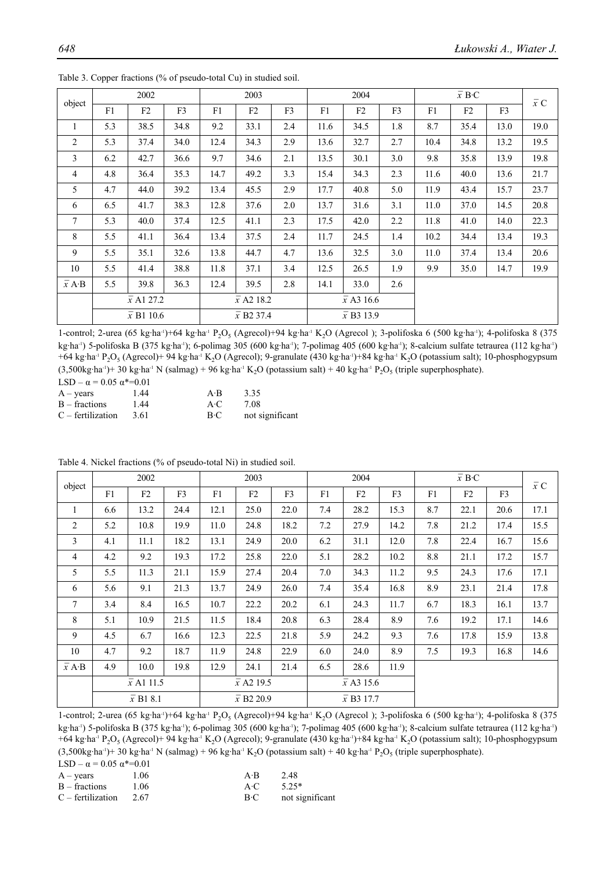|                            |     | 2002              |                |      | 2003                          |                |                   | 2004 |                   |      | $\overline{x}$ B·C |                | $\overline{x}$ C |  |
|----------------------------|-----|-------------------|----------------|------|-------------------------------|----------------|-------------------|------|-------------------|------|--------------------|----------------|------------------|--|
| object                     | F1  | F2                | F <sub>3</sub> | F1   | F2                            | F <sub>3</sub> | F1                | F2   | F <sub>3</sub>    | F1   | F2                 | F <sub>3</sub> |                  |  |
| $\mathbf{1}$               | 5.3 | 38.5              | 34.8           | 9.2  | 33.1                          | 2.4            | 11.6              | 34.5 | 1.8               | 8.7  | 35.4               | 13.0           | 19.0             |  |
| 2                          | 5.3 | 37.4              | 34.0           | 12.4 | 34.3                          | 2.9            | 13.6              | 32.7 | 2.7               | 10.4 | 34.8               | 13.2           | 19.5             |  |
| 3                          | 6.2 | 42.7              | 36.6           | 9.7  | 34.6                          | 2.1            | 13.5              | 30.1 | 3.0               | 9.8  | 35.8               | 13.9           | 19.8             |  |
| $\overline{4}$             | 4.8 | 36.4              | 35.3           | 14.7 | 49.2                          | 3.3            | 15.4              | 34.3 | 2.3               | 11.6 | 40.0               | 13.6           | 21.7             |  |
| 5                          | 4.7 | 44.0              | 39.2           | 13.4 | 45.5                          | 2.9            | 17.7              | 40.8 | 5.0               | 11.9 | 43.4               | 15.7           | 23.7             |  |
| 6                          | 6.5 | 41.7              | 38.3           | 12.8 | 37.6                          | 2.0            | 13.7              | 31.6 | 3.1               | 11.0 | 37.0               | 14.5           | 20.8             |  |
| 7                          | 5.3 | 40.0              | 37.4           | 12.5 | 41.1                          | 2.3            | 17.5              | 42.0 | 2.2               | 11.8 | 41.0               | 14.0           | 22.3             |  |
| 8                          | 5.5 | 41.1              | 36.4           | 13.4 | 37.5                          | 2.4            | 11.7              | 24.5 | 1.4               | 10.2 | 34.4               | 13.4           | 19.3             |  |
| 9                          | 5.5 | 35.1              | 32.6           | 13.8 | 44.7                          | 4.7            | 13.6              | 32.5 | 3.0               | 11.0 | 37.4               | 13.4           | 20.6             |  |
| 10                         | 5.5 | 41.4              | 38.8           | 11.8 | 37.1                          | 3.4            | 12.5              | 26.5 | 1.9               | 9.9  | 35.0               | 14.7           | 19.9             |  |
| $\overline{x}$ A $\cdot$ B | 5.5 | 39.8              | 36.3           | 12.4 | 39.5                          | 2.8            | 14.1              | 33.0 | 2.6               |      |                    |                |                  |  |
|                            |     | $\bar{x}$ A1 27.2 |                |      | $\bar{x}$ A2 18.2             |                | $\bar{x}$ A3 16.6 |      |                   |      |                    |                |                  |  |
|                            |     | $\bar{x}$ B1 10.6 |                |      | $\bar{x}$ B <sub>2</sub> 37.4 |                |                   |      | $\bar{x}$ B3 13.9 |      |                    |                |                  |  |

Table 3. Copper fractions (% of pseudo-total Cu) in studied soil.

1-control; 2-urea (65 kg·ha<sup>-1</sup>)+64 kg·ha<sup>-1</sup> P<sub>2</sub>O<sub>5</sub> (Agrecol)+94 kg·ha<sup>-1</sup> K<sub>2</sub>O (Agrecol); 3-polifoska 6 (500 kg·ha<sup>-1</sup>); 4-polifoska 8 (375 kg·ha<sup>-1</sup>) 5-polifoska B (375 kg·ha<sup>-1</sup>); 6-polimag 305 (600 kg·ha<sup>-1</sup>); 7-polimag 405 (600 kg·ha<sup>-1</sup>); 8-calcium sulfate tetraurea (112 kg·ha<sup>-1</sup>) +64 kg·ha-1 P2O5 (Agrecol)+ 94 kg·ha-1 K2O (Agrecol); 9-granulate (430 kg·ha-1)+84 kg·ha-1 K2O (potassium salt); 10-phosphogypsum  $(3,500\text{kg} \cdot \text{ha}^{\text{-1}})$ + 30 kg·ha<sup>-1</sup> N (salmag) + 96 kg·ha<sup>-1</sup> K<sub>2</sub>O (potassium salt) + 40 kg·ha<sup>-1</sup> P<sub>2</sub>O<sub>5</sub> (triple superphosphate).

| LSD – $\alpha$ = 0.05 $\alpha$ *=0.01 |      |             |                 |
|---------------------------------------|------|-------------|-----------------|
| $A - \text{years}$                    | 1.44 | $A \cdot B$ | 3.35            |
| $B - fractions$                       | 1.44 | A(C)        | 7.08            |
| $C$ – fertilization                   | 3.61 | $B-C$       | not significant |

| object             |     | 2002                  |                |      | 2003                          |                | 2004              |                   |                | $\overline{x}$ C |      |      |      |
|--------------------|-----|-----------------------|----------------|------|-------------------------------|----------------|-------------------|-------------------|----------------|------------------|------|------|------|
|                    | F1  | F2                    | F <sub>3</sub> | F1   | F2                            | F <sub>3</sub> | F1                | F2                | F <sub>3</sub> | F1               | F2   | F3   |      |
| $\mathbf{1}$       | 6.6 | 13.2                  | 24.4           | 12.1 | 25.0                          | 22.0           | 7.4               | 28.2              | 15.3           | 8.7              | 22.1 | 20.6 | 17.1 |
| 2                  | 5.2 | 10.8                  | 19.9           | 11.0 | 24.8                          | 18.2           | 7.2               | 27.9              | 14.2           | 7.8              | 21.2 | 17.4 | 15.5 |
| 3                  | 4.1 | 11.1                  | 18.2           | 13.1 | 24.9                          | 20.0           | 6.2               | 31.1              | 12.0           | 7.8              | 22.4 | 16.7 | 15.6 |
| $\overline{4}$     | 4.2 | 9.2                   | 19.3           | 17.2 | 25.8                          | 22.0           | 5.1               | 28.2              | 10.2           | 8.8              | 21.1 | 17.2 | 15.7 |
| 5                  | 5.5 | 11.3                  | 21.1           | 15.9 | 27.4                          | 20.4           | 7.0               | 34.3              | 11.2           | 9.5              | 24.3 | 17.6 | 17.1 |
| 6                  | 5.6 | 9.1                   | 21.3           | 13.7 | 24.9                          | 26.0           | 7.4               | 35.4              | 16.8           | 8.9              | 23.1 | 21.4 | 17.8 |
| $\tau$             | 3.4 | 8.4                   | 16.5           | 10.7 | 22.2                          | 20.2           | 6.1               | 24.3              | 11.7           | 6.7              | 18.3 | 16.1 | 13.7 |
| 8                  | 5.1 | 10.9                  | 21.5           | 11.5 | 18.4                          | 20.8           | 6.3               | 28.4              | 8.9            | 7.6              | 19.2 | 17.1 | 14.6 |
| 9                  | 4.5 | 6.7                   | 16.6           | 12.3 | 22.5                          | 21.8           | 5.9               | 24.2              | 9.3            | 7.6              | 17.8 | 15.9 | 13.8 |
| 10                 | 4.7 | 9.2                   | 18.7           | 11.9 | 24.8                          | 22.9           | 6.0               | 24.0              | 8.9            | 7.5              | 19.3 | 16.8 | 14.6 |
| $\overline{x}$ A·B | 4.9 | 10.0                  | 19.8           | 12.9 | 24.1                          | 21.4           | 6.5               | 28.6              | 11.9           |                  |      |      |      |
|                    |     | $\bar{x}$ A1 11.5     |                |      | $\bar{x}$ A2 19.5             |                | $\bar{x}$ A3 15.6 |                   |                |                  |      |      |      |
|                    |     | $\overline{x}$ B1 8.1 |                |      | $\bar{x}$ B <sub>2</sub> 20.9 |                |                   | $\bar{x}$ B3 17.7 |                |                  |      |      |      |

Table 4. Nickel fractions (% of pseudo-total Ni) in studied soil.

1-control; 2-urea (65 kg·ha<sup>-1</sup>)+64 kg·ha<sup>-1</sup> P<sub>2</sub>O<sub>5</sub> (Agrecol)+94 kg·ha<sup>-1</sup> K<sub>2</sub>O (Agrecol); 3-polifoska 6 (500 kg·ha<sup>-1</sup>); 4-polifoska 8 (375 kg·ha-1) 5-polifoska B (375 kg·ha-1); 6-polimag 305 (600 kg·ha-1); 7-polimag 405 (600 kg·ha-1); 8-calcium sulfate tetraurea (112 kg·ha-1) +64 kg·ha-1 P2O5 (Agrecol)+ 94 kg·ha-1 K2O (Agrecol); 9-granulate (430 kg·ha-1)+84 kg·ha-1 K2O (potassium salt); 10-phosphogypsum  $(3,500\text{kg}\cdot\text{ha}^{\cdot})+30\text{ kg}\cdot\text{ha}^{\cdot} \text{ N}$  (salmag) + 96 kg·ha·<sup>1</sup> K<sub>2</sub>O (potassium salt) + 40 kg·ha·<sup>1</sup> P<sub>2</sub>O<sub>5</sub> (triple superphosphate).

LSD –  $\alpha$  = 0.05  $\alpha$ \*=0.01

| $A - \text{years}$       | 1.06  | $A \cdot B$ | 2.48              |
|--------------------------|-------|-------------|-------------------|
| $B - fractions$          | -1.06 |             | $A \cdot C$ 5.25* |
| $C -$ fertilization 2.67 |       | $B-C$       | not significant   |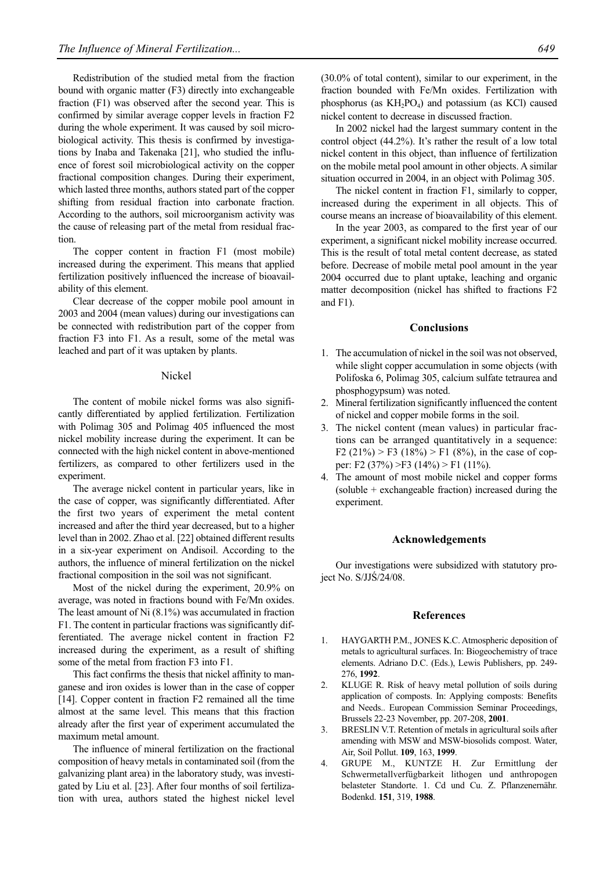Redistribution of the studied metal from the fraction bound with organic matter (F3) directly into exchangeable fraction (F1) was observed after the second year. This is confirmed by similar average copper levels in fraction F2 during the whole experiment. It was caused by soil microbiological activity. This thesis is confirmed by investigations by Inaba and Takenaka [21], who studied the influence of forest soil microbiological activity on the copper fractional composition changes. During their experiment, which lasted three months, authors stated part of the copper shifting from residual fraction into carbonate fraction. According to the authors, soil microorganism activity was the cause of releasing part of the metal from residual fraction.

The copper content in fraction F1 (most mobile) increased during the experiment. This means that applied fertilization positively influenced the increase of bioavailability of this element.

Clear decrease of the copper mobile pool amount in 2003 and 2004 (mean values) during our investigations can be connected with redistribution part of the copper from fraction F3 into F1. As a result, some of the metal was leached and part of it was uptaken by plants.

#### Nickel

The content of mobile nickel forms was also significantly differentiated by applied fertilization. Fertilization with Polimag 305 and Polimag 405 influenced the most nickel mobility increase during the experiment. It can be connected with the high nickel content in above-mentioned fertilizers, as compared to other fertilizers used in the experiment.

The average nickel content in particular years, like in the case of copper, was significantly differentiated. After the first two years of experiment the metal content increased and after the third year decreased, but to a higher level than in 2002. Zhao et al. [22] obtained different results in a six-year experiment on Andisoil. According to the authors, the influence of mineral fertilization on the nickel fractional composition in the soil was not significant.

Most of the nickel during the experiment, 20.9% on average, was noted in fractions bound with Fe/Mn oxides. The least amount of Ni (8.1%) was accumulated in fraction F1. The content in particular fractions was significantly differentiated. The average nickel content in fraction F2 increased during the experiment, as a result of shifting some of the metal from fraction F3 into F1.

This fact confirms the thesis that nickel affinity to manganese and iron oxides is lower than in the case of copper [14]. Copper content in fraction F2 remained all the time almost at the same level. This means that this fraction already after the first year of experiment accumulated the maximum metal amount.

The influence of mineral fertilization on the fractional composition of heavy metals in contaminated soil (from the galvanizing plant area) in the laboratory study, was investigated by Liu et al. [23]. After four months of soil fertilization with urea, authors stated the highest nickel level (30.0% of total content), similar to our experiment, in the fraction bounded with Fe/Mn oxides. Fertilization with phosphorus (as  $KH_2PO_4$ ) and potassium (as KCl) caused nickel content to decrease in discussed fraction.

In 2002 nickel had the largest summary content in the control object (44.2%). It's rather the result of a low total nickel content in this object, than influence of fertilization on the mobile metal pool amount in other objects. A similar situation occurred in 2004, in an object with Polimag 305.

The nickel content in fraction F1, similarly to copper, increased during the experiment in all objects. This of course means an increase of bioavailability of this element.

In the year 2003, as compared to the first year of our experiment, a significant nickel mobility increase occurred. This is the result of total metal content decrease, as stated before. Decrease of mobile metal pool amount in the year 2004 occurred due to plant uptake, leaching and organic matter decomposition (nickel has shifted to fractions F2 and F1).

## **Conclusions**

- 1. The accumulation of nickel in the soil was not observed, while slight copper accumulation in some objects (with Polifoska 6, Polimag 305, calcium sulfate tetraurea and phosphogypsum) was noted.
- 2. Mineral fertilization significantly influenced the content of nickel and copper mobile forms in the soil.
- 3. The nickel content (mean values) in particular fractions can be arranged quantitatively in a sequence: F2 (21%) > F3 (18%) > F1 (8%), in the case of copper: F2 (37%) >F3 (14%) > F1 (11%).
- 4. The amount of most mobile nickel and copper forms (soluble + exchangeable fraction) increased during the experiment.

#### **Acknowledgements**

Our investigations were subsidized with statutory project No. S/JJŚ/24/08.

#### **References**

- 1. HAYGARTH P.M., JONES K.C. Atmospheric deposition of metals to agricultural surfaces. In: Biogeochemistry of trace elements. Adriano D.C. (Eds.), Lewis Publishers, pp. 249- 276, **1992**.
- 2. KLUGE R. Risk of heavy metal pollution of soils during application of composts. In: Applying composts: Benefits and Needs.. European Commission Seminar Proceedings, Brussels 22-23 November, pp. 207-208, **2001**.
- 3. BRESLIN V.T. Retention of metals in agricultural soils after amending with MSW and MSW-biosolids compost. Water, Air, Soil Pollut. **109**, 163, **1999**.
- 4. GRUPE M., KUNTZE H. Zur Ermittlung der Schwermetallverfügbarkeit lithogen und anthropogen belasteter Standorte. 1. Cd und Cu. Z. Pflanzenernähr. Bodenkd. **151**, 319, **1988**.